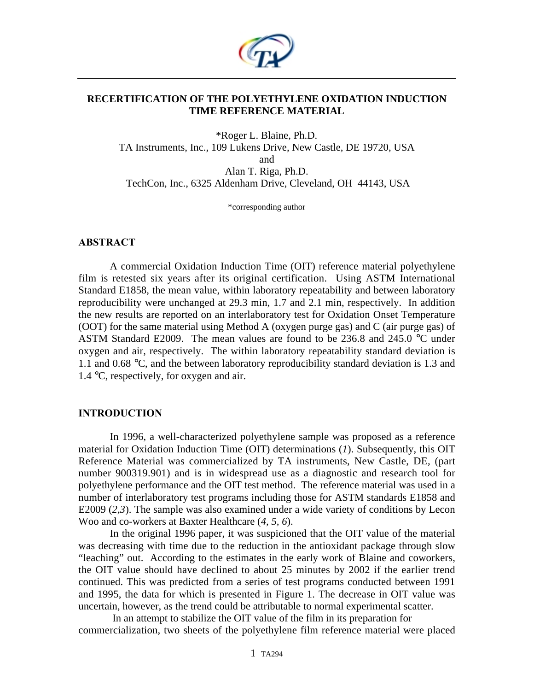

### **RECERTIFICATION OF THE POLYETHYLENE OXIDATION INDUCTION TIME REFERENCE MATERIAL**

\*Roger L. Blaine, Ph.D. TA Instruments, Inc., 109 Lukens Drive, New Castle, DE 19720, USA and Alan T. Riga, Ph.D. TechCon, Inc., 6325 Aldenham Drive, Cleveland, OH 44143, USA

\*corresponding author

#### **ABSTRACT**

A commercial Oxidation Induction Time (OIT) reference material polyethylene film is retested six years after its original certification. Using ASTM International Standard E1858, the mean value, within laboratory repeatability and between laboratory reproducibility were unchanged at 29.3 min, 1.7 and 2.1 min, respectively. In addition the new results are reported on an interlaboratory test for Oxidation Onset Temperature (OOT) for the same material using Method A (oxygen purge gas) and C (air purge gas) of ASTM Standard E2009. The mean values are found to be 236.8 and 245.0 °C under oxygen and air, respectively. The within laboratory repeatability standard deviation is 1.1 and 0.68 °C, and the between laboratory reproducibility standard deviation is 1.3 and 1.4 °C, respectively, for oxygen and air.

### **INTRODUCTION**

In 1996, a well-characterized polyethylene sample was proposed as a reference material for Oxidation Induction Time (OIT) determinations (*1*). Subsequently, this OIT Reference Material was commercialized by TA instruments, New Castle, DE, (part number 900319.901) and is in widespread use as a diagnostic and research tool for polyethylene performance and the OIT test method. The reference material was used in a number of interlaboratory test programs including those for ASTM standards E1858 and E2009 (*2,3*). The sample was also examined under a wide variety of conditions by Lecon Woo and co-workers at Baxter Healthcare (*4, 5, 6*).

In the original 1996 paper, it was suspicioned that the OIT value of the material was decreasing with time due to the reduction in the antioxidant package through slow "leaching" out. According to the estimates in the early work of Blaine and coworkers, the OIT value should have declined to about 25 minutes by 2002 if the earlier trend continued. This was predicted from a series of test programs conducted between 1991 and 1995, the data for which is presented in Figure 1. The decrease in OIT value was uncertain, however, as the trend could be attributable to normal experimental scatter.

 In an attempt to stabilize the OIT value of the film in its preparation for commercialization, two sheets of the polyethylene film reference material were placed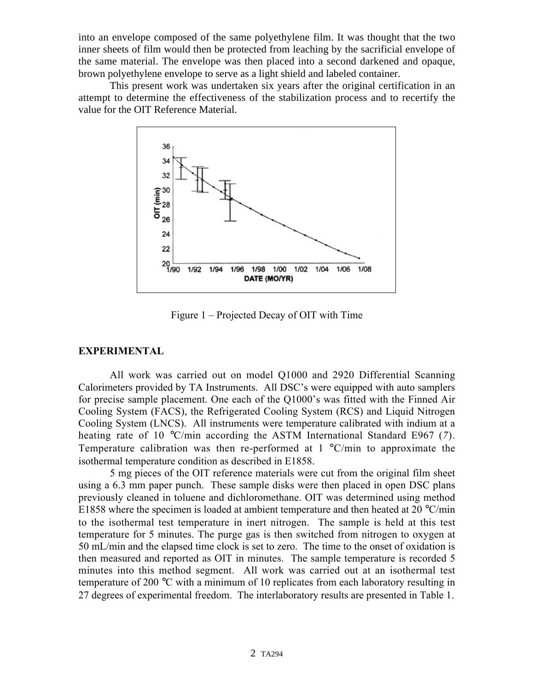into an envelope composed of the same polyethylene film. It was thought that the two inner sheets of film would then be protected from leaching by the sacrificial envelope of the same material. The envelope was then placed into a second darkened and opaque, brown polyethylene envelope to serve as a light shield and labeled container.

This present work was undertaken six years after the original certification in an attempt to determine the effectiveness of the stabilization process and to recertify the value for the OIT Reference Material.



Figure 1 – Projected Decay of OIT with Time

## **EXPERIMENTAL**

All work was carried out on model Q1000 and 2920 Differential Scanning Calorimeters provided by TA Instruments. All DSC's were equipped with auto samplers for precise sample placement. One each of the Q1000's was fitted with the Finned Air Cooling System (FACS), the Refrigerated Cooling System (RCS) and Liquid Nitrogen Cooling System (LNCS). All instruments were temperature calibrated with indium at a heating rate of 10 °C/min according the ASTM International Standard E967 (*7*). Temperature calibration was then re-performed at  $1 \degree C / \text{min}$  to approximate the isothermal temperature condition as described in E1858.

5 mg pieces of the OIT reference materials were cut from the original film sheet using a 6.3 mm paper punch. These sample disks were then placed in open DSC plans previously cleaned in toluene and dichloromethane. OIT was determined using method E1858 where the specimen is loaded at ambient temperature and then heated at 20  $^{\circ}$ C/min to the isothermal test temperature in inert nitrogen. The sample is held at this test temperature for 5 minutes. The purge gas is then switched from nitrogen to oxygen at 50 mL/min and the elapsed time clock is set to zero. The time to the onset of oxidation is then measured and reported as OIT in minutes. The sample temperature is recorded 5 minutes into this method segment. All work was carried out at an isothermal test temperature of 200 °C with a minimum of 10 replicates from each laboratory resulting in 27 degrees of experimental freedom. The interlaboratory results are presented in Table 1.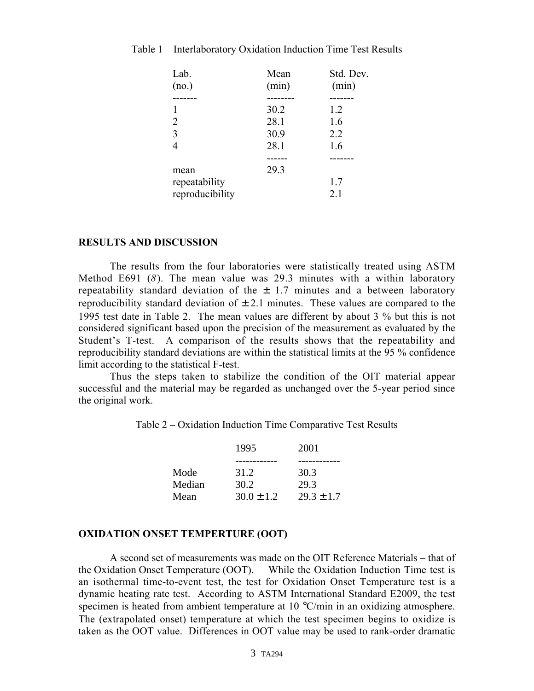| Lab.            | Mean  | Std. Dev. |
|-----------------|-------|-----------|
| (no.)           | (min) | (min)     |
|                 |       |           |
|                 | 30.2  | 1.2       |
| $\overline{2}$  | 28.1  | 1.6       |
| 3               | 30.9  | 2.2       |
| 4               | 28.1  | 1.6       |
|                 |       |           |
| mean            | 29.3  |           |
| repeatability   |       | 1.7       |
| reproducibility |       | 2.1       |

#### Table 1 – Interlaboratory Oxidation Induction Time Test Results

#### **RESULTS AND DISCUSSION**

The results from the four laboratories were statistically treated using ASTM Method E691 (*8*). The mean value was 29.3 minutes with a within laboratory repeatability standard deviation of the  $\pm$  1.7 minutes and a between laboratory reproducibility standard deviation of  $\pm$  2.1 minutes. These values are compared to the 1995 test date in Table 2. The mean values are different by about 3 % but this is not considered significant based upon the precision of the measurement as evaluated by the Student's T-test. A comparison of the results shows that the repeatability and reproducibility standard deviations are within the statistical limits at the 95 % confidence limit according to the statistical F-test.

Thus the steps taken to stabilize the condition of the OIT material appear successful and the material may be regarded as unchanged over the 5-year period since the original work.

Table 2 – Oxidation Induction Time Comparative Test Results

|        | 1995           | 2001           |  |
|--------|----------------|----------------|--|
|        |                |                |  |
| Mode   | 31.2           | 30.3           |  |
| Median | 30.2           | 29.3           |  |
| Mean   | $30.0 \pm 1.2$ | $29.3 \pm 1.7$ |  |

#### **OXIDATION ONSET TEMPERTURE (OOT)**

A second set of measurements was made on the OIT Reference Materials – that of the Oxidation Onset Temperature (OOT). While the Oxidation Induction Time test is an isothermal time-to-event test, the test for Oxidation Onset Temperature test is a dynamic heating rate test. According to ASTM International Standard E2009, the test specimen is heated from ambient temperature at 10 °C/min in an oxidizing atmosphere. The (extrapolated onset) temperature at which the test specimen begins to oxidize is taken as the OOT value. Differences in OOT value may be used to rank-order dramatic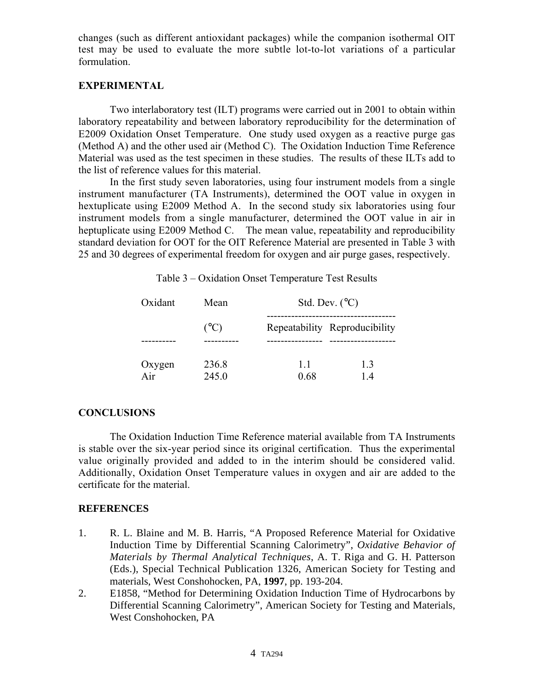changes (such as different antioxidant packages) while the companion isothermal OIT test may be used to evaluate the more subtle lot-to-lot variations of a particular formulation.

### **EXPERIMENTAL**

Two interlaboratory test (ILT) programs were carried out in 2001 to obtain within laboratory repeatability and between laboratory reproducibility for the determination of E2009 Oxidation Onset Temperature. One study used oxygen as a reactive purge gas (Method A) and the other used air (Method C). The Oxidation Induction Time Reference Material was used as the test specimen in these studies. The results of these ILTs add to the list of reference values for this material.

In the first study seven laboratories, using four instrument models from a single instrument manufacturer (TA Instruments), determined the OOT value in oxygen in hextuplicate using E2009 Method A. In the second study six laboratories using four instrument models from a single manufacturer, determined the OOT value in air in heptuplicate using E2009 Method C. The mean value, repeatability and reproducibility standard deviation for OOT for the OIT Reference Material are presented in Table 3 with 25 and 30 degrees of experimental freedom for oxygen and air purge gases, respectively.

| Oxidant | Mean            | Std. Dev. $(^{\circ}C)$       |    |
|---------|-----------------|-------------------------------|----|
|         | $({}^{\circ}C)$ | Repeatability Reproducibility |    |
|         |                 |                               |    |
| Oxygen  | 236.8           | 11                            | 13 |
| Air     | 245.0           | 0.68                          | 14 |

Table 3 – Oxidation Onset Temperature Test Results

# **CONCLUSIONS**

The Oxidation Induction Time Reference material available from TA Instruments is stable over the six-year period since its original certification. Thus the experimental value originally provided and added to in the interim should be considered valid. Additionally, Oxidation Onset Temperature values in oxygen and air are added to the certificate for the material.

## **REFERENCES**

- 1. R. L. Blaine and M. B. Harris, "A Proposed Reference Material for Oxidative Induction Time by Differential Scanning Calorimetry", *Oxidative Behavior of Materials by Thermal Analytical Techniques*, A. T. Riga and G. H. Patterson (Eds.), Special Technical Publication 1326, American Society for Testing and materials, West Conshohocken, PA, **1997**, pp. 193-204.
- 2. E1858, "Method for Determining Oxidation Induction Time of Hydrocarbons by Differential Scanning Calorimetry", American Society for Testing and Materials, West Conshohocken, PA